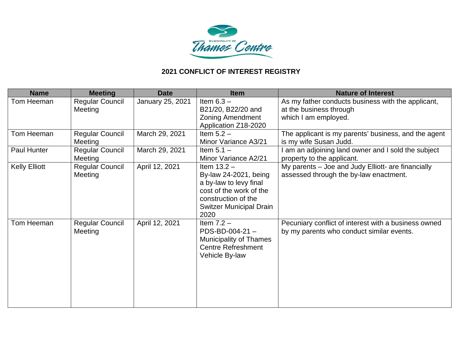

| <b>Name</b>          | <b>Meeting</b>                    | <b>Date</b>      | <b>Item</b>                                                                                                                                                  | <b>Nature of Interest</b>                                                                             |
|----------------------|-----------------------------------|------------------|--------------------------------------------------------------------------------------------------------------------------------------------------------------|-------------------------------------------------------------------------------------------------------|
| Tom Heeman           | <b>Regular Council</b><br>Meeting | January 25, 2021 | Item $6.3 -$<br>B21/20, B22/20 and<br><b>Zoning Amendment</b><br>Application Z18-2020                                                                        | As my father conducts business with the applicant,<br>at the business through<br>which I am employed. |
| Tom Heeman           | <b>Regular Council</b><br>Meeting | March 29, 2021   | Item $5.2 -$<br>Minor Variance A3/21                                                                                                                         | The applicant is my parents' business, and the agent<br>is my wife Susan Judd.                        |
| Paul Hunter          | <b>Regular Council</b><br>Meeting | March 29, 2021   | Item $5.1 -$<br>Minor Variance A2/21                                                                                                                         | am an adjoining land owner and I sold the subject<br>property to the applicant.                       |
| <b>Kelly Elliott</b> | <b>Regular Council</b><br>Meeting | April 12, 2021   | Item $13.2 -$<br>By-law 24-2021, being<br>a by-law to levy final<br>cost of the work of the<br>construction of the<br><b>Switzer Municipal Drain</b><br>2020 | My parents – Joe and Judy Elliott- are financially<br>assessed through the by-law enactment.          |
| Tom Heeman           | <b>Regular Council</b><br>Meeting | April 12, 2021   | Item $7.2 -$<br>$PDS-BD-004-21-$<br><b>Municipality of Thames</b><br><b>Centre Refreshment</b><br>Vehicle By-law                                             | Pecuniary conflict of interest with a business owned<br>by my parents who conduct similar events.     |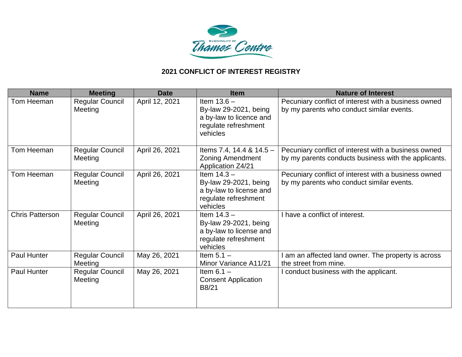

| <b>Name</b>            | <b>Meeting</b>                    | <b>Date</b>    | <b>Item</b>                                                                                           | <b>Nature of Interest</b>                                                                                    |
|------------------------|-----------------------------------|----------------|-------------------------------------------------------------------------------------------------------|--------------------------------------------------------------------------------------------------------------|
| Tom Heeman             | <b>Regular Council</b><br>Meeting | April 12, 2021 | Item $13.6 -$<br>By-law 29-2021, being<br>a by-law to licence and<br>regulate refreshment<br>vehicles | Pecuniary conflict of interest with a business owned<br>by my parents who conduct similar events.            |
| Tom Heeman             | <b>Regular Council</b><br>Meeting | April 26, 2021 | Items 7.4, 14.4 & $14.5 -$<br>Zoning Amendment<br><b>Application Z4/21</b>                            | Pecuniary conflict of interest with a business owned<br>by my parents conducts business with the applicants. |
| Tom Heeman             | <b>Regular Council</b><br>Meeting | April 26, 2021 | Item $14.3 -$<br>By-law 29-2021, being<br>a by-law to license and<br>regulate refreshment<br>vehicles | Pecuniary conflict of interest with a business owned<br>by my parents who conduct similar events.            |
| <b>Chris Patterson</b> | <b>Regular Council</b><br>Meeting | April 26, 2021 | Item $14.3 -$<br>By-law 29-2021, being<br>a by-law to license and<br>regulate refreshment<br>vehicles | I have a conflict of interest.                                                                               |
| <b>Paul Hunter</b>     | <b>Regular Council</b><br>Meeting | May 26, 2021   | Item $5.1 -$<br>Minor Variance A11/21                                                                 | am an affected land owner. The property is across<br>the street from mine.                                   |
| <b>Paul Hunter</b>     | <b>Regular Council</b><br>Meeting | May 26, 2021   | Item $6.1 -$<br><b>Consent Application</b><br>B8/21                                                   | conduct business with the applicant.                                                                         |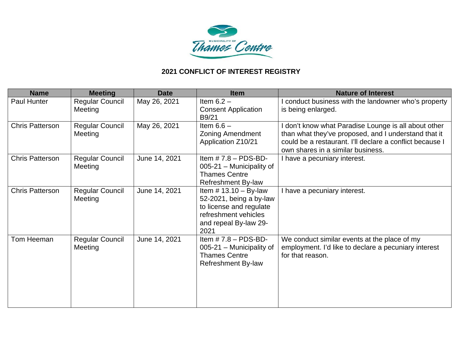

| <b>Name</b>            | <b>Meeting</b>                    | <b>Date</b>   | <b>Item</b>                                                                                                                            | <b>Nature of Interest</b>                                                                                                                                                                                   |
|------------------------|-----------------------------------|---------------|----------------------------------------------------------------------------------------------------------------------------------------|-------------------------------------------------------------------------------------------------------------------------------------------------------------------------------------------------------------|
| Paul Hunter            | <b>Regular Council</b><br>Meeting | May 26, 2021  | Item $6.2 -$<br><b>Consent Application</b><br>B9/21                                                                                    | conduct business with the landowner who's property<br>is being enlarged.                                                                                                                                    |
| <b>Chris Patterson</b> | <b>Regular Council</b><br>Meeting | May 26, 2021  | Item $6.6 -$<br><b>Zoning Amendment</b><br>Application Z10/21                                                                          | don't know what Paradise Lounge is all about other<br>than what they've proposed, and I understand that it<br>could be a restaurant. I'll declare a conflict because I<br>own shares in a similar business. |
| <b>Chris Patterson</b> | <b>Regular Council</b><br>Meeting | June 14, 2021 | Item $# 7.8 - PDS-BD-$<br>005-21 - Municipality of<br><b>Thames Centre</b><br><b>Refreshment By-law</b>                                | I have a pecuniary interest.                                                                                                                                                                                |
| <b>Chris Patterson</b> | <b>Regular Council</b><br>Meeting | June 14, 2021 | Item $# 13.10 - By-law$<br>52-2021, being a by-law<br>to license and regulate<br>refreshment vehicles<br>and repeal By-law 29-<br>2021 | I have a pecuniary interest.                                                                                                                                                                                |
| Tom Heeman             | <b>Regular Council</b><br>Meeting | June 14, 2021 | Item $# 7.8 - PDS-BD-$<br>005-21 - Municipality of<br><b>Thames Centre</b><br><b>Refreshment By-law</b>                                | We conduct similar events at the place of my<br>employment. I'd like to declare a pecuniary interest<br>for that reason.                                                                                    |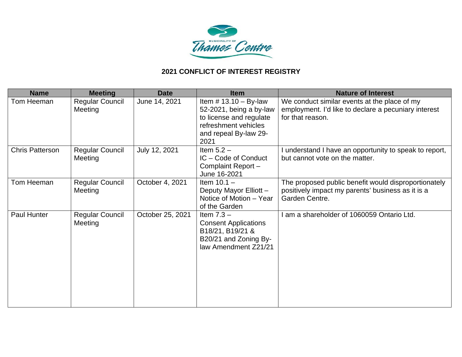

| <b>Name</b>            | <b>Meeting</b>                    | <b>Date</b>      | <b>Item</b>                                                                                                                            | <b>Nature of Interest</b>                                                                                                   |
|------------------------|-----------------------------------|------------------|----------------------------------------------------------------------------------------------------------------------------------------|-----------------------------------------------------------------------------------------------------------------------------|
| Tom Heeman             | <b>Regular Council</b><br>Meeting | June 14, 2021    | Item $#$ 13.10 - By-law<br>52-2021, being a by-law<br>to license and regulate<br>refreshment vehicles<br>and repeal By-law 29-<br>2021 | We conduct similar events at the place of my<br>employment. I'd like to declare a pecuniary interest<br>for that reason.    |
| <b>Chris Patterson</b> | <b>Regular Council</b><br>Meeting | July 12, 2021    | Item $5.2 -$<br>IC - Code of Conduct<br>Complaint Report-<br>June 16-2021                                                              | understand I have an opportunity to speak to report,<br>but cannot vote on the matter.                                      |
| Tom Heeman             | <b>Regular Council</b><br>Meeting | October 4, 2021  | Item $10.1 -$<br>Deputy Mayor Elliott -<br>Notice of Motion - Year<br>of the Garden                                                    | The proposed public benefit would disproportionately<br>positively impact my parents' business as it is a<br>Garden Centre. |
| <b>Paul Hunter</b>     | <b>Regular Council</b><br>Meeting | October 25, 2021 | Item $7.3 -$<br><b>Consent Applications</b><br>B18/21, B19/21 &<br>B20/21 and Zoning By-<br>law Amendment Z21/21                       | am a shareholder of 1060059 Ontario Ltd.                                                                                    |